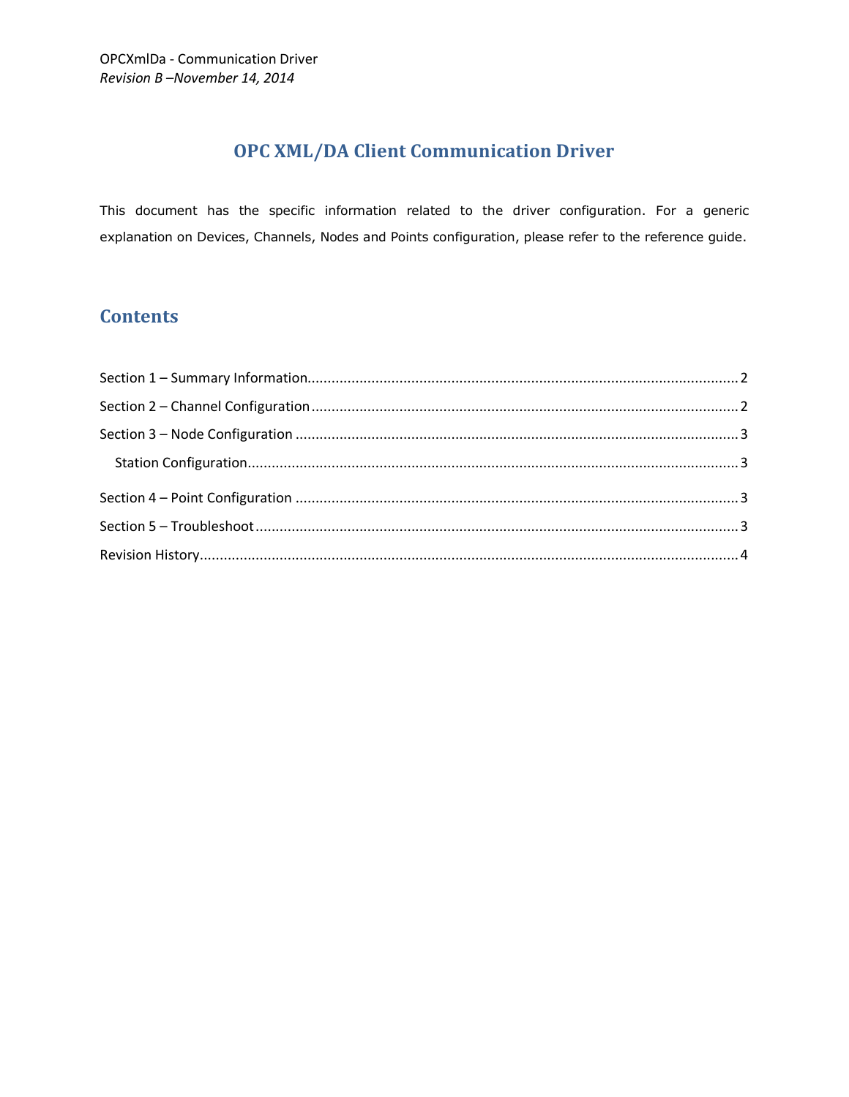# **OPC XML/DA Client Communication Driver**

This document has the specific information related to the driver configuration. For a generic explanation on Devices, Channels, Nodes and Points configuration, please refer to the reference guide.

# **Contents**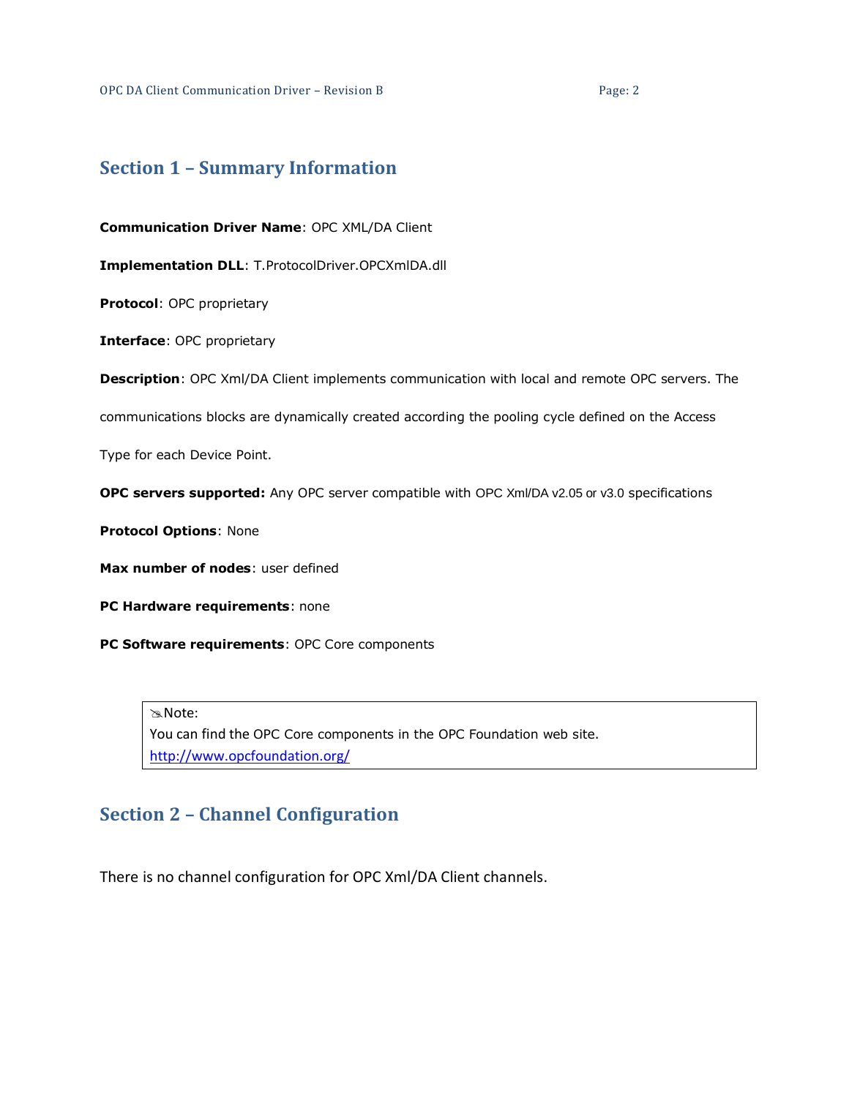## <span id="page-1-0"></span>**Section 1 – Summary Information**

**Communication Driver Name**: OPC XML/DA Client

**Implementation DLL**: T.ProtocolDriver.OPCXmlDA.dll

**Protocol**: OPC proprietary

**Interface**: OPC proprietary

**Description**: OPC Xml/DA Client implements communication with local and remote OPC servers. The

communications blocks are dynamically created according the pooling cycle defined on the Access

Type for each Device Point.

**OPC servers supported:** Any OPC server compatible with OPC Xml/DA v2.05 or v3.0 specifications

**Protocol Options**: None

**Max number of nodes**: user defined

**PC Hardware requirements**: none

**PC Software requirements**: OPC Core components

Note: You can find the OPC Core components in the OPC Foundation web site. <http://www.opcfoundation.org/>

## <span id="page-1-1"></span>**Section 2 – Channel Configuration**

There is no channel configuration for OPC Xml/DA Client channels.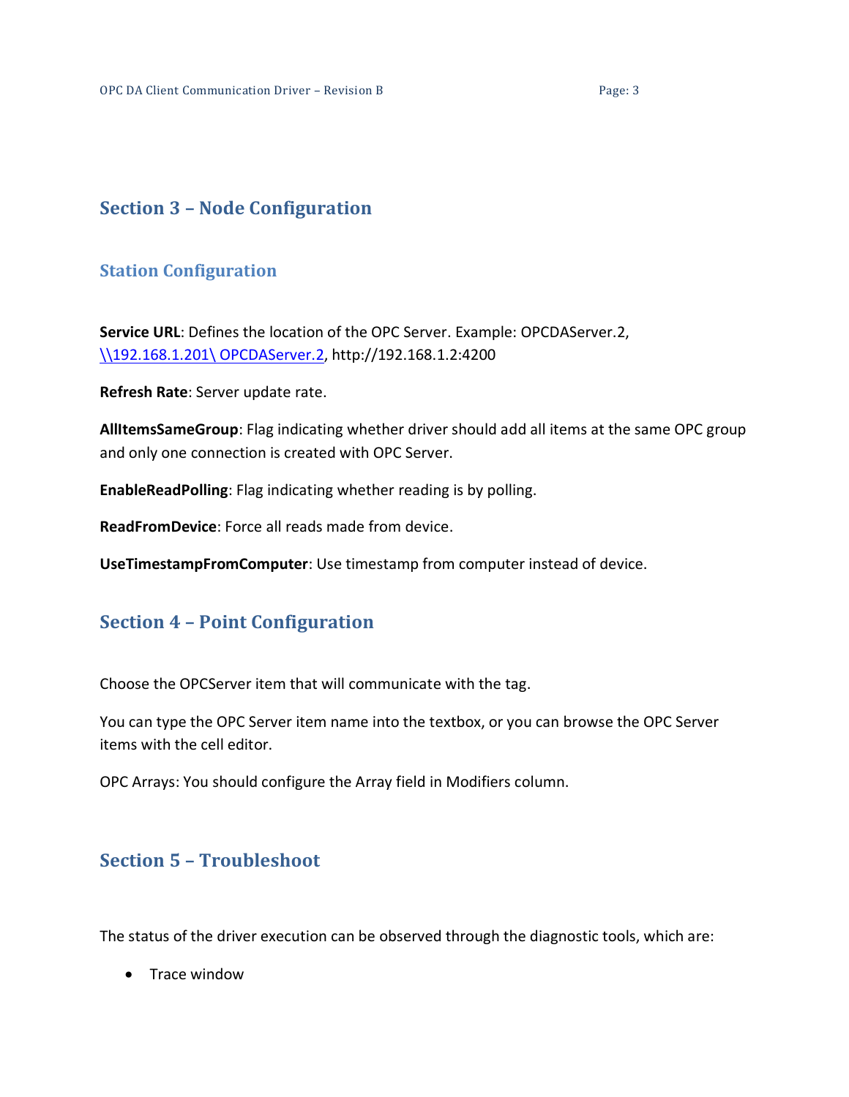# <span id="page-2-0"></span>**Section 3 – Node Configuration**

### <span id="page-2-1"></span>**Station Configuration**

**Service URL**: Defines the location of the OPC Server. Example: OPCDAServer.2, [\\192.168.1.201\](file://192.168.1.201/Tatsoft.OPCDAServer.1) OPCDAServer.2, http://192.168.1.2:4200

**Refresh Rate**: Server update rate.

**AllItemsSameGroup**: Flag indicating whether driver should add all items at the same OPC group and only one connection is created with OPC Server.

**EnableReadPolling**: Flag indicating whether reading is by polling.

**ReadFromDevice**: Force all reads made from device.

**UseTimestampFromComputer**: Use timestamp from computer instead of device.

## <span id="page-2-2"></span>**Section 4 – Point Configuration**

Choose the OPCServer item that will communicate with the tag.

You can type the OPC Server item name into the textbox, or you can browse the OPC Server items with the cell editor.

OPC Arrays: You should configure the Array field in Modifiers column.

## <span id="page-2-3"></span>**Section 5 – Troubleshoot**

The status of the driver execution can be observed through the diagnostic tools, which are:

• Trace window